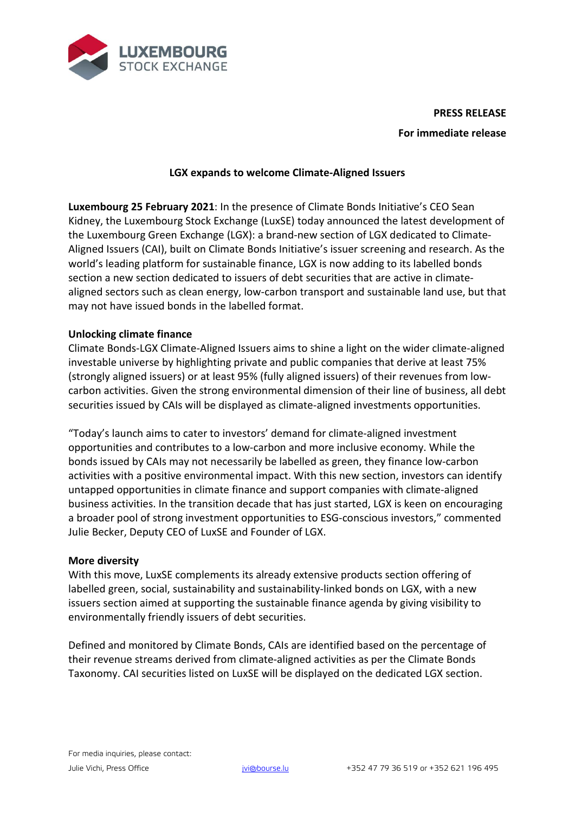

**PRESS RELEASE For immediate release**

# **LGX expands to welcome Climate-Aligned Issuers**

**Luxembourg 25 February 2021**: In the presence of Climate Bonds Initiative's CEO Sean Kidney, the Luxembourg Stock Exchange (LuxSE) today announced the latest development of the Luxembourg Green Exchange (LGX): a brand-new section of LGX dedicated to Climate-Aligned Issuers (CAI), built on Climate Bonds Initiative's issuer screening and research. As the world's leading platform for sustainable finance, LGX is now adding to its labelled bonds section a new section dedicated to issuers of debt securities that are active in climatealigned sectors such as clean energy, low-carbon transport and sustainable land use, but that may not have issued bonds in the labelled format.

#### **Unlocking climate finance**

Climate Bonds-LGX Climate-Aligned Issuers aims to shine a light on the wider climate-aligned investable universe by highlighting private and public companies that derive at least 75% (strongly aligned issuers) or at least 95% (fully aligned issuers) of their revenues from lowcarbon activities. Given the strong environmental dimension of their line of business, all debt securities issued by CAIs will be displayed as climate-aligned investments opportunities.

"Today's launch aims to cater to investors' demand for climate-aligned investment opportunities and contributes to a low-carbon and more inclusive economy. While the bonds issued by CAIs may not necessarily be labelled as green, they finance low-carbon activities with a positive environmental impact. With this new section, investors can identify untapped opportunities in climate finance and support companies with climate-aligned business activities. In the transition decade that has just started, LGX is keen on encouraging a broader pool of strong investment opportunities to ESG-conscious investors," commented Julie Becker, Deputy CEO of LuxSE and Founder of LGX.

#### **More diversity**

With this move, LuxSE complements its already extensive products section offering of labelled green, social, sustainability and sustainability-linked bonds on LGX, with a new issuers section aimed at supporting the sustainable finance agenda by giving visibility to environmentally friendly issuers of debt securities.

Defined and monitored by Climate Bonds, CAIs are identified based on the percentage of their revenue streams derived from climate-aligned activities as per the Climate Bonds Taxonomy. CAI securities listed on LuxSE will be displayed on the dedicated LGX section.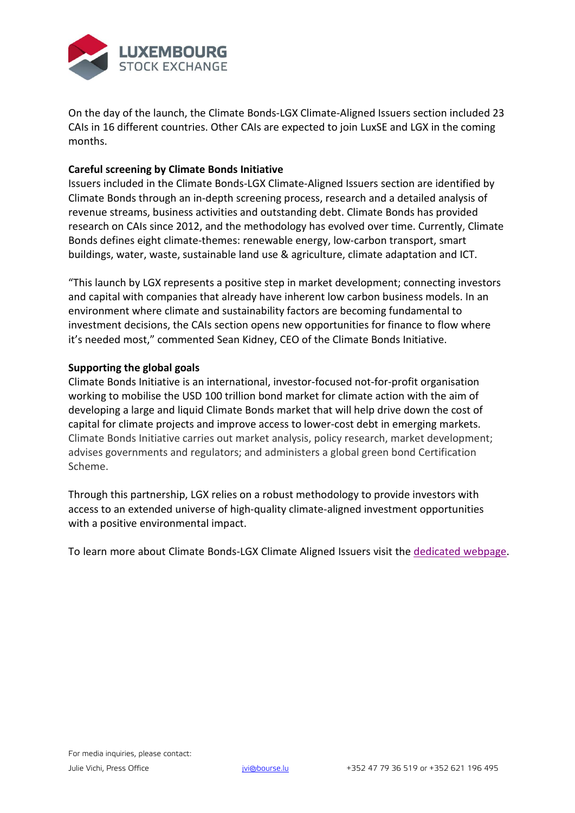

On the day of the launch, the Climate Bonds-LGX Climate-Aligned Issuers section included 23 CAIs in 16 different countries. Other CAIs are expected to join LuxSE and LGX in the coming months.

# **Careful screening by Climate Bonds Initiative**

Issuers included in the Climate Bonds-LGX Climate-Aligned Issuers section are identified by Climate Bonds through an in-depth screening process, research and a detailed analysis of revenue streams, business activities and outstanding debt. Climate Bonds has provided research on CAIs since 2012, and the methodology has evolved over time. Currently, Climate Bonds defines eight climate-themes: renewable energy, low-carbon transport, smart buildings, water, waste, sustainable land use & agriculture, climate adaptation and ICT.

"This launch by LGX represents a positive step in market development; connecting investors and capital with companies that already have inherent low carbon business models. In an environment where climate and sustainability factors are becoming fundamental to investment decisions, the CAIs section opens new opportunities for finance to flow where it's needed most," commented Sean Kidney, CEO of the Climate Bonds Initiative.

## **Supporting the global goals**

Climate Bonds Initiative is an international, investor-focused not-for-profit organisation working to mobilise the USD 100 trillion bond market for climate action with the aim of developing a large and liquid Climate Bonds market that will help drive down the cost of capital for climate projects and improve access to lower-cost debt in emerging markets. Climate Bonds Initiative carries out market analysis, policy research, market development; advises governments and regulators; and administers a global green bond Certification Scheme.

Through this partnership, LGX relies on a robust methodology to provide investors with access to an extended universe of high-quality climate-aligned investment opportunities with a positive environmental impact.

To learn more about Climate Bonds-LGX Climate Aligned Issuers visit the [dedicated webpage.](https://www.bourse.lu/climate-bonds-lgx-climate-aligned-issuers)